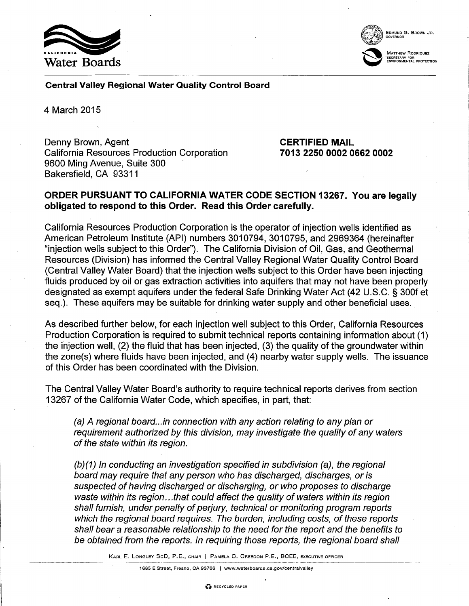



~ MATTHEW RoDRIQUEZ

Central Valley Regional Water Quality Control Board

4 March 2015

Denny Brown, Agent **CERTIFIED MAIL** California Resources Production Corporation 9600 Ming Avenue, Suite 300 Bakersfield, CA 93311

7013 2250 0002 0662 0002

## ORDER PURSUANT TO CALIFORNIA WATER CODE SECTION 13267. You are legally obligated to respond to this Order. Read this Order carefully.

California Resources Production Corporation is the operator of injection wells identified as American Petroleum Institute (API) numbers 3010794, 3010795, and 2969364 (hereinafter "injection wells subject to this Order"). The California Division of Oil, Gas, and Geothermal Resources (Division) has informed the Central Valley Regional Water Quality Control Board (Central Valley Water Board) that the injection wells subject to this Order have been injecting fluids produced by oil or gas extraction activities into aquifers that may not have been properly designated as exempt aquifers under the federal Safe Drinking Water Act (42 U.S.C. § 300f et seq.). These aquifers may be suitable for drinking water supply and other beneficial uses.

As described further below, for each injection well subject to this Order, California Resources Production Corporation is required to submit technical reports containing information about (1) the injection well, (2) the fluid that has been injected, (3) the quality of the groundwater within the zone(s) where fluids have been injected, and (4) nearby water supply wells. The issuance of this Order has been coordinated with the Division.

The Central Valley Water Board's authority to require technical reports derives from section 13267 of the California Water Code, which specifies, in part, that:

(a) A regional board...in connection with any action relating to any plan or requirement authorized by this division, may investigate the quality of any waters of the state within its region.

(b)(1) In conducting an investigation specified in subdivision (a), the regional board may require that any person who has discharged, discharges, or is suspected of having discharged or discharging, or who proposes to discharge waste within its region...that could affect the quality of waters within its region shall furnish, under penalty of perjury, technical or monitoring program reports which the regional board requires. The burden, including costs, of these reports shall bear a reasonable relationship to the need for the report and the benefits to be obtained from the reports. In requiring those reports, the regional board shall

KARL E. LONGLEY SeD, P.E., CHAIR I PAMELA C. CREEDON P.E., BCEE, EXECUTIVE OFFICER ···········-····-···········-----

1685 E Street, Fresno, CA 93706 I www.waterboards.ca.gov/centralvalley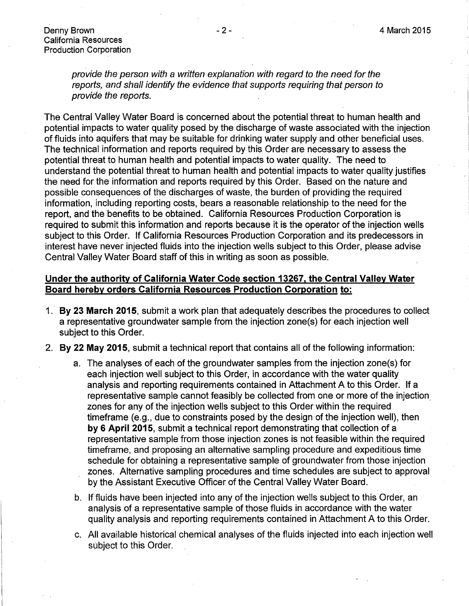provide the person with a written explanation with regard to the need for the reports, and shall identify the evidence that supports requiring that person to provide the reports.

The Central Valley Water Board is concerned about the potential threat to human health and potential impacts to water quality posed by the discharge of waste associated with the injection of fluids into aquifers that may be suitable for drinking water supply and other beneficial uses. The technical information and reports required by this Order are necessary to assess the potential threat to human health and potential impacts to water quality. The need to understand the potential threat to human health and potential impacts to water quality justifies the need for the information and reports required by this Order. Based on the nature and possible consequences of the discharges of waste, the burden of providing the required information, including reporting costs, bears a reasonable relationship to the need for the report, and the benefits to be obtained. California Resources Production Corporation is required to submit this information and reports because it is the operator of the injection wells subject to this Order. If California Resources Production Corporation and its predecessors in interest have never injected fluids into the injection wells subject to this Order, please advise Central Valley Water Board staff of this in writing as soon as possible.

# **Under the authority of California Water Code section 13267, the Central Valley Water Board hereby orders California Resources Production Corporation to:**

- 1. **By 23 March 2015,** submit a work plan that adequately describes the procedures to collect a representative groundwater sample from the injection zone(s) for each injection well subject to this Order.
- 2. **By 22 May 2015,** submit a technical report that contains all of the following information:
	- a. The analyses of each of the groundwater samples from the injection zone(s) for each injection well subject to this Order, in accordance with the water quality analysis and reporting requirements contained in Attachment A to this Order. If a representative sample cannot feasibly be collected from one or more of the injection, zones for any of the injection wells subject to this Order within the required timeframe (e.g., due to constraints posed by the design of the injection well), then **by 6 April 2015,** submit a technical report demonstrating that collection of a representative sample from those injection zones is not feasible within the required timeframe, and proposing an alternative sampling procedure and expeditious time schedule for obtaining a representative sample of groundwater from those injection zones. Alternative sampling procedures and time schedules are subject to approval by the Assistant Executive Officer of the Central Valley Water Board.
	- b. If fluids have been injected into any of the injection wells subject to this Order, an analysis of a representative sample of those fluids in accordance with the water quality analysis and reporting requirements contained in Attachment A to this Order.
	- c. All available historical chemical analyses of the fluids injected into each injection well subject to this Order.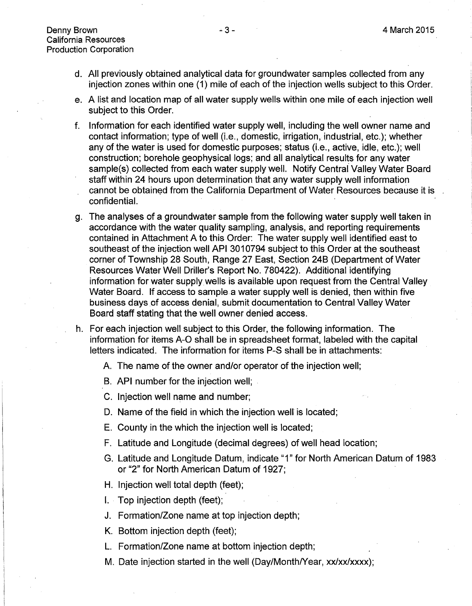- d. All previously obtained analytical data for groundwater samples collected from any injection zones within one (1) mile of each of the injection wells subject to this Order.
- e. A list and location map of all water supply wells within one mile of each injection well subject to this Order.
- f. Information for each identified water supply well, including the well owner name and contact information; type of well (i.e., domestic, irrigation, industrial, etc.); whether any of the water is used for domestic purposes; status (i.e., active, idle, etc.); well construction; borehole geophysical logs; and all analytical results for any water sample(s) collected from each water supply well. Notify Central Valley Water Board staff within 24 hours upon determination that any water supply well information cannot be obtained from the California Department of Water Resources because it is confidential.
- g. The analyses of a groundwater sample from the following water supply well taken in accordance with the water quality sampling, analysis, and reporting requirements contained in Attachment A to this Order: The water supply well identified east to southeast of the injection well API 3010794 subject to this Order at the southeast corner of Township 28 South, Range 27 East, Section 24B (Department of Water Resources Water Well Driller's Report No. 780422). Additional identifying information for water supply wells is available upon request from the Central Valley Water Board. If access to sample a water supply well is denied, then within five business days of access denial, submit documentation to Central Valley Water Board staff stating that the well owner denied access.
- h. For each injection well subject to this Order, the following information. The information for items A-0 shall be in spreadsheet format, labeled with the capital letters indicated. The information for items P-S shall be in attachments:
	- A. The name of the owner and/or operator of the injection well;
	- B. API number for the injection well;
	- C. Injection well name and number;
	- D. Name of the field in which the injection well is located;
	- E. County in the which the injection well is located;
	- F. Latitude and Longitude (decimal degrees) of well head location;
	- G. Latitude and Longitude Datum, indicate "1" for North American Datum of 1983 or "2" for North American Datum of 1927;
	- H. Injection well total depth (feet);
	- I. Top injection depth (feet);
	- J. Formation/Zone name at top injection depth;
	- K. Bottom injection depth (feet);
	- L. Formation/Zone name at bottom injection depth;
	- M. Date injection started in the well (Day/Month/Year, xx/xx/xxxx);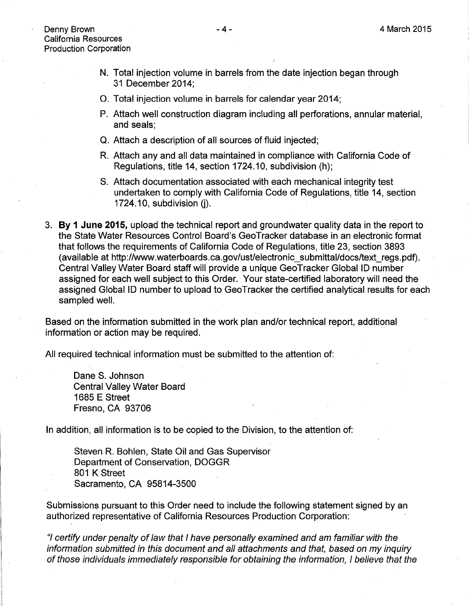- N. Total injection volume in barrels from the date injection began through 31 December 2014;
- 0. Total injection volume in barrels for calendar year 2014;
- P. Attach well construction diagram including all perforations, annular material, and seals;
- Q. Attach a description of all sources of fluid injected;
- R. Attach any and all data maintained in compliance with California Code of Regulations, title 14, section 1724.10, subdivision (h);
- S. Attach documentation associated with each mechanical integrity test undertaken to comply with California Code of Regulations, title 14, section  $1724.10$ , subdivision (j).
- 3. **By 1 June 2015,** upload the technical report and groundwater quality data in the report to the State Water Resources Control Board's GeoTracker database in an electronic format that follows the requirements of California Code of Regulations, title 23, section 3893 (available at http://www.waterboards.ca.gov/ust/electronic\_submittal/docs/text\_regs.pdf). Central Valley Water Board staff will provide a unique GeoTracker Global ID number assigned for each well subject to this Order. Your state-certified laboratory will need the assigned Global ID number to upload to GeoTracker the certified analytical results for each sampled well.

Based on the information submitted in the work plan and/or technical report, additional information or action may be required.

All required technical information must be submitted to the attention of:

Dane S. Johnson Central Valley Water Board 1685 E Street Fresno, CA 93706

In addition, all information is to be copied to the Division, to the attention of:

Steven R. Bohlen, State Oil and Gas Supervisor Department of Conservation, DOGGR 801 K Street Sacramento, CA 95814-3500

Submissions pursuant to this Order need to include the following statement signed by an authorized representative of California Resources Production Corporation:

"I certify under penalty of law that I have personally examined and am familiar with the information submitted in this document and all attachments and that, based on my inquiry of those individuals immediately responsible for obtaining the information, I believe that the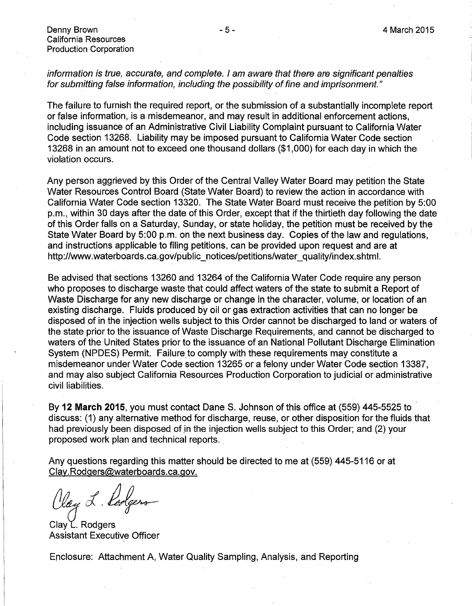Denny Brown California Resources Production Corporation

## information is true, accurate, and complete. I am aware that there are significant penalties for submitting false information, including the possibility of fine and imprisonment."

The failure to furnish the required report, or the submission of a substantially incomplete report or false information, is a. misdemeanor, and may result in additional enforcement actions, including issuance of an Administrative Civil Liability Complaint pursuant to California Water Code section 13268. Liability may be imposed pursuant to California Water Code section 13268 in an amount not to exceed one thousand dollars (\$1 ,000) for each day in which the violation occurs.

Any person aggrieved by this Order of the Central Valley Water Board may petition the State Water Resources Control Board (State Water Board) to review the action in accordance with California Water Code section 13320. The State Water Board must receive the petition by 5:00 p.m., within 30 days after the date of this Order, except that if the thirtieth day following the date of this Order falls on a Saturday, Sunday, or state holiday, the petition must be received by the State Water Board by 5:00 p.m. on the next business day. Copies of the law and regulations, and instructions applicable to filing petitions, can be provided upon request and are at http://www.waterboards.ca.gov/public\_notices/petitions/water\_quality/index.shtml.

Be advised that sections 13260 and 13264 of the California Water Code require any person who proposes to discharge waste that could affect waters of the state to submit a Report of Waste Discharge for any new discharge or change in the character, volume, or location of an existing discharge. Fluids produced by oil or gas extraction activities that can no longer be disposed of in the injection wells subject to this Order cannot be discharged to land or waters of the state prior to the issuance of Waste Discharge Requirements, and cannot be discharged to waters of the United States prior to the issuance of an National Pollutant Discharge Elimination System (NPDES) Permit. Failure to comply with these requirements may constitute a misdemeanor under Water Code section 13265 or a felony under Water Code section 13387, and may also subject California Resources Production Corporation to judicial or administrative civil liabilities.

By **12 March 2015,** you must contact Dane S. Johnson of this office at (559) 445-5525 to · discuss: (1) any alternative method for discharge, reuse, or other disposition for the fluids that had previously been disposed of in the injection wells subject to this Order; and (2) your proposed work plan and technical reports ..

Any questions regarding this matter should be directed to me at (559) 445-5116 or at Clay. Rodgers@waterboards.ca.gov.

(lay L. Lodgers  $Clay \cup Rodge$ <br>Clay L. Rodgers

Assistant Executive Officer

Enclosure: Attachment A, Water Quality Sampling, Analysis, and Reporting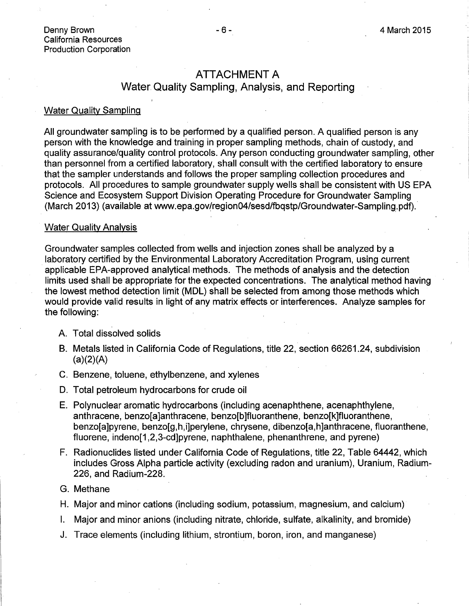## ATTACHMENT A

# Water Quality Sampling, Analysis, and Reporting

#### Water Quality Sampling

All groundwater sampling is to be performed by a qualified person. A qualified person is any person with the knowledge and training in proper sampling methods, chain of custody, and quality assurance/quality control protocols. Any person conducting groundwater sampling, other than personnel from a certified laboratory, shall consult with the certified laboratory to ensure that the sampler understands and follows the proper sampling collection procedures and protocols. All procedures to sample groundwater supply wells shall be consistent with US EPA Science and Ecosystem Support Division Operating Procedure for Groundwater Sampling (March 2013) (available at www.epa.gov/region04/sesd/fbqstp/Groundwater-Sampling.pdf).

#### Water Quality Analysis

Groundwater samples collected from wells and injection zones shall be analyzed by a laboratory certified by the Environmental Laboratory Accreditation Program, using current applicable EPA-approved analytical methods. The methods of analysis and the detection limits used shall be appropriate for the expected concentrations. The analytical method having the lowest method detection limit (MDL) shall be selected from among those methods which would provide valid results in light of any matrix effects or interferences. Analyze samples for the following:

#### A. Total dissolved solids

- B. Metals listed in California Code of Regulations, title 22, section 66261.24, subdivision  $(a)(2)(A)$
- C. Benzene, toluene, ethylbenzene, and xylenes
- D. Total petroleum hydrocarbons for crude oil
- E. Polynuclear aromatic hydrocarbons (including acenaphthene, acenaphthylene, anthracene, benzo[a]anthracene, benzo[b]fluoranthene, benzo[k]fluoranthene, benzo[a]pyrene, benzo[g,h,i]perylene, chrysene, dibenzo[a,h]anthracene, fluoranthene, fluorene, indeno[1,2,3-cd]pyrene, naphthalene, phenanthrene, and pyrene)
- F. Radionuclides listed under California Code of Regulations, title 22, Table 64442, which includes Gross Alpha particle activity (excluding radon and uranium), Uranium, Radium-226, and Radium-228.

#### G. Methane

- H. Major and minor cations (including sodium, potassium, magnesium, and calcium)
- I. Major and minor anions (including nitrate, chloride, sulfate, alkalinity, and bromide)
- J. Trace elements (including lithium, strontium, boron, iron, and manganese)